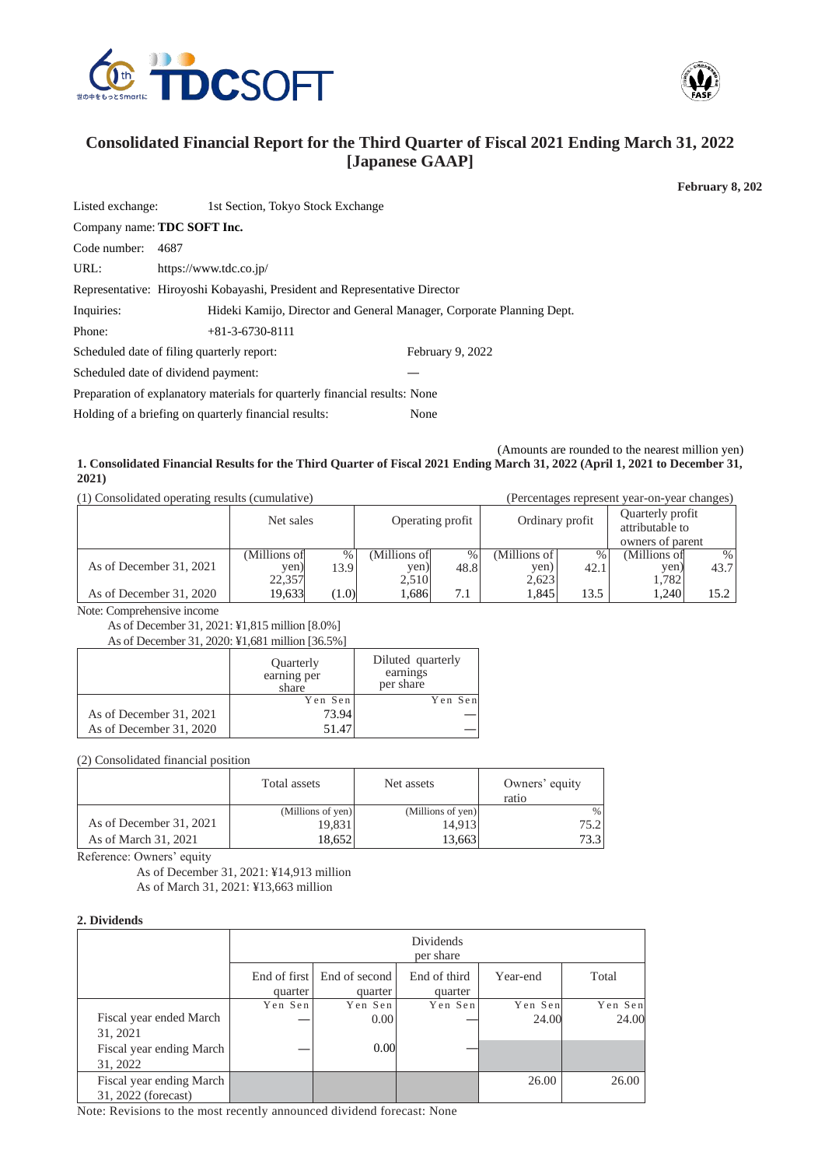



# **Consolidated Financial Report for the Third Quarter of Fiscal 2021 Ending March 31, 2022 [Japanese GAAP]**

**February 8, 202**

| Listed exchange:                   | 1st Section, Tokyo Stock Exchange                                          |                                                                       |  |  |  |
|------------------------------------|----------------------------------------------------------------------------|-----------------------------------------------------------------------|--|--|--|
| Company name: <b>TDC SOFT Inc.</b> |                                                                            |                                                                       |  |  |  |
| Code number:                       | 4687                                                                       |                                                                       |  |  |  |
| URL:                               | https://www.tdc.co.jp/                                                     |                                                                       |  |  |  |
|                                    | Representative: Hiroyoshi Kobayashi, President and Representative Director |                                                                       |  |  |  |
| Inquiries:                         |                                                                            | Hideki Kamijo, Director and General Manager, Corporate Planning Dept. |  |  |  |
| Phone:                             | $+81-3-6730-8111$                                                          |                                                                       |  |  |  |
|                                    | Scheduled date of filing quarterly report:                                 | February 9, 2022                                                      |  |  |  |
|                                    | Scheduled date of dividend payment:                                        |                                                                       |  |  |  |
|                                    | Preparation of explanatory materials for quarterly financial results: None |                                                                       |  |  |  |
|                                    | Holding of a briefing on quarterly financial results:                      | None                                                                  |  |  |  |
|                                    |                                                                            |                                                                       |  |  |  |

(Amounts are rounded to the nearest million yen)

**1. Consolidated Financial Results for the Third Quarter of Fiscal 2021 Ending March 31, 2022 (April 1, 2021 to December 31, 2021)**

(1) Consolidated operating results (cumulative) (Percentages represent year-on-year changes)

|                         | Net sales    |       | Operating profit |      | Ordinary profit |      | Quarterly profit<br>attributable to |      |
|-------------------------|--------------|-------|------------------|------|-----------------|------|-------------------------------------|------|
|                         |              |       |                  |      |                 |      | owners of parent                    |      |
|                         | (Millions of | %     | (Millions ofl    | $\%$ | (Millions of    | %    | (Millions of                        | $\%$ |
| As of December 31, 2021 | yen)         | 13.9  | yen)             | 48.8 | yen)            | 42.1 | yen,                                | 43.7 |
|                         | 22,357       |       | 2,510            |      | 2,623           |      | 1.782                               |      |
| As of December 31, 2020 | 19,633       | (1.0) | 1,686            | 7.1  | 1,845           | 13.5 | 1.240                               | 15.2 |

Note: Comprehensive income

As of December 31, 2021: ¥1,815 million [8.0%]

As of December 31, 2020: ¥1,681 million [36.5%]

|                         | <b>Ouarterly</b><br>earning per<br>share | Diluted quarterly<br>earnings<br>per share |
|-------------------------|------------------------------------------|--------------------------------------------|
|                         | Yen Sen                                  | Yen Sen                                    |
| As of December 31, 2021 | 73.94                                    |                                            |
| As of December 31, 2020 | 51.47                                    |                                            |

(2) Consolidated financial position

|                         | Total assets      | Net assets        | Owners' equity<br>ratio |
|-------------------------|-------------------|-------------------|-------------------------|
|                         | (Millions of yen) | (Millions of yen) | %                       |
| As of December 31, 2021 | 19,831            | 14.913            | 75.21                   |
| As of March 31, 2021    | 18.6521           | 13.663            | 73.3                    |

Reference: Owners' equity

As of December 31, 2021: ¥14,913 million As of March 31, 2021: ¥13,663 million

#### **2. Dividends**

|                                                                 |                         |                          | Dividends<br>per share  |                  |                  |
|-----------------------------------------------------------------|-------------------------|--------------------------|-------------------------|------------------|------------------|
|                                                                 | End of first<br>quarter | End of second<br>quarter | End of third<br>quarter | Year-end         | Total            |
| Fiscal year ended March<br>31, 2021<br>Fiscal year ending March | Yen Sen                 | Yen Sen<br>0.00<br>0.00  | Yen Sen                 | Yen Sen<br>24.00 | Yen Sen<br>24.00 |
| 31, 2022<br>Fiscal year ending March<br>31, 2022 (forecast)     |                         |                          |                         | 26.00            | 26.00            |

Note: Revisions to the most recently announced dividend forecast: None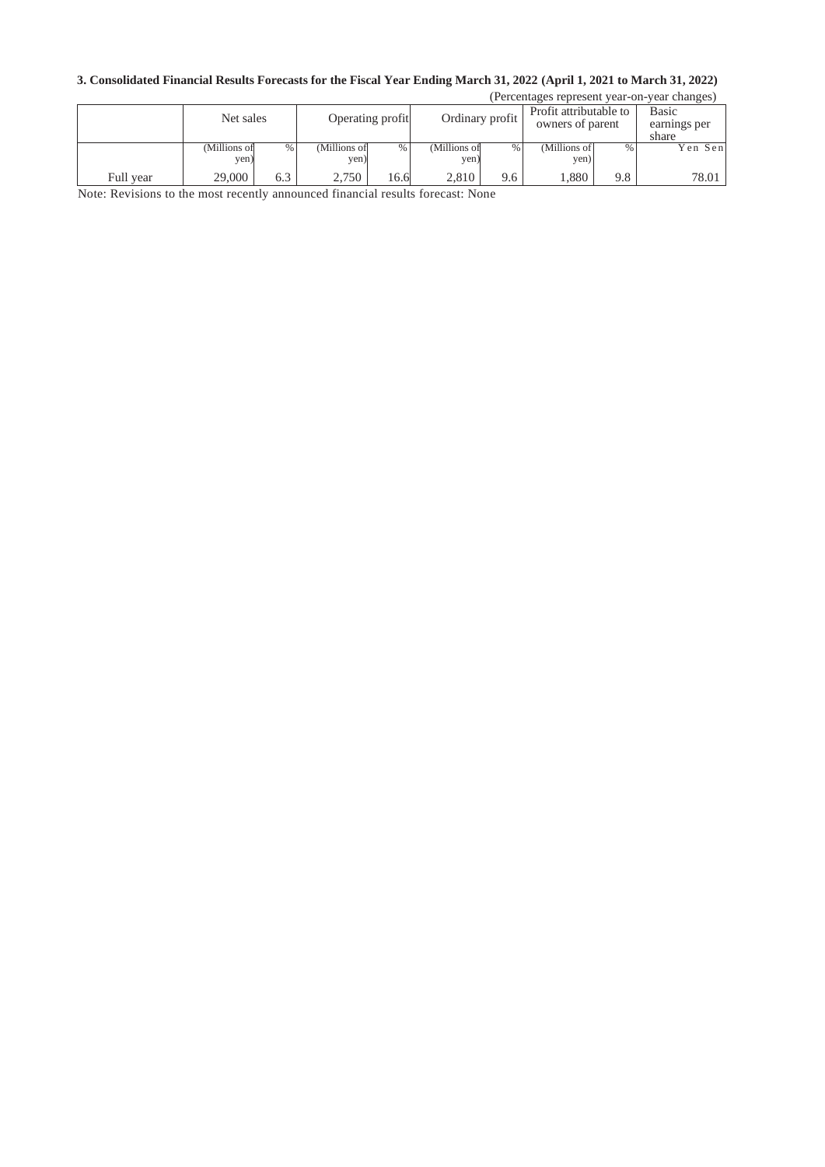# **3. Consolidated Financial Results Forecasts for the Fiscal Year Ending March 31, 2022 (April 1, 2021 to March 31, 2022)**

| (Percentages represent year-on-year changes) |                      |     |                                     |      |                                            |     |                                |      |         |
|----------------------------------------------|----------------------|-----|-------------------------------------|------|--------------------------------------------|-----|--------------------------------|------|---------|
|                                              | Net sales            |     | Ordinary profit<br>Operating profit |      | Profit attributable to<br>owners of parent |     | Basic<br>earnings per<br>share |      |         |
|                                              | (Millions of<br>yen) | %   | (Millions of<br>yen)                | %    | (Millions of<br>yen)                       | %   | (Millions of<br>yen)           | $\%$ | Yen Sen |
| Full year                                    | 29,000               | 6.3 | 2.750                               | 16.6 | 2.810                                      | 9.6 | 1.880                          | 9.8  | 78.01   |

Note: Revisions to the most recently announced financial results forecast: None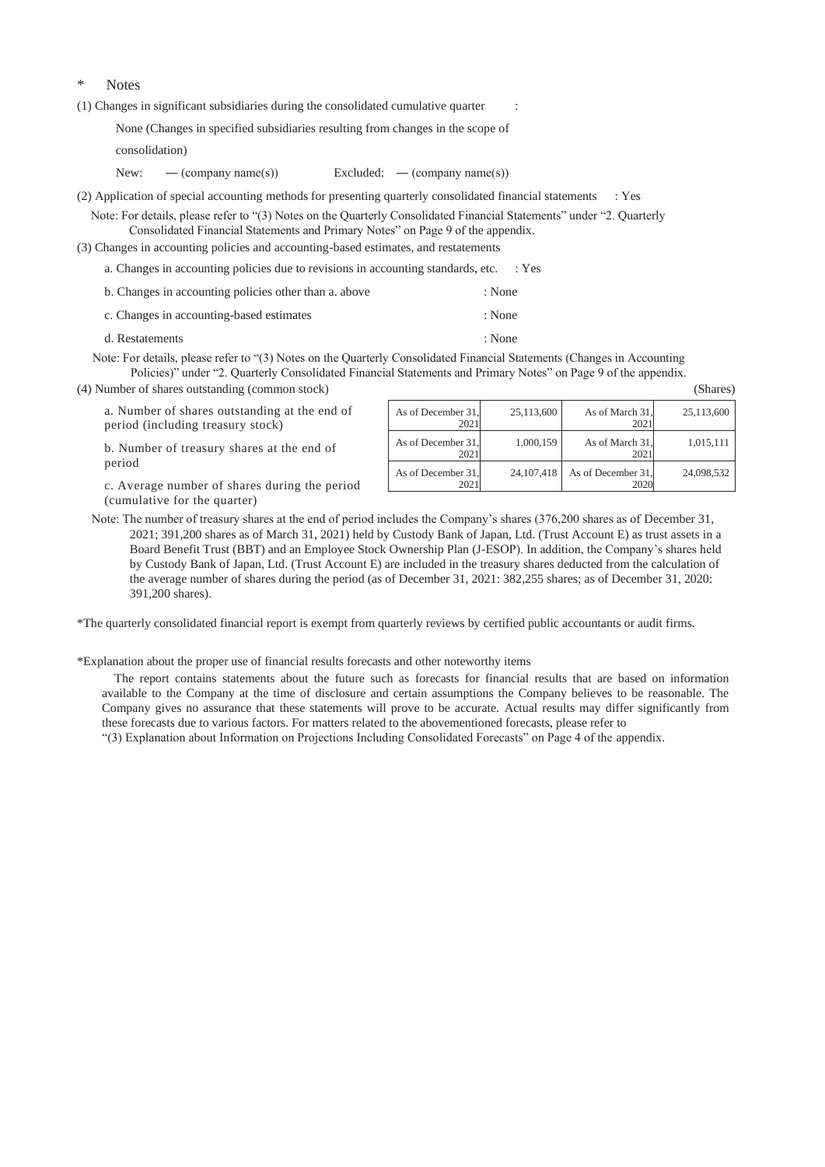#### Notes

(1) Changes in significant subsidiaries during the consolidated cumulative quarter :

None (Changes in specified subsidiaries resulting from changes in the scope of

consolidation)

New: — (company name(s)) Excluded: — (company name(s))

(2) Application of special accounting methods for presenting quarterly consolidated financial statements : Yes

Note: For details, please refer to "(3) Notes on the Quarterly Consolidated Financial Statements" under "2. Quarterly Consolidated Financial Statements and Primary Notes" on Page 9 of the appendix.

(3) Changes in accounting policies and accounting-based estimates, and restatements

a. Changes in accounting policies due to revisions in accounting standards, etc. : Yes

| b. Changes in accounting policies other than a. above | : None |
|-------------------------------------------------------|--------|
| c. Changes in accounting-based estimates              | : None |
| d. Restatements                                       | : None |

Note: For details, please refer to "(3) Notes on the Quarterly Consolidated Financial Statements (Changes in Accounting Policies)" under "2. Quarterly Consolidated Financial Statements and Primary Notes" on Page 9 of the appendix.

(4) Number of shares outstanding (common stock) (Shares)

a. Number of shares outstanding at the end of period (including treasury stock)

b. Number of treasury shares at the end of period

c. Average number of shares during the period (cumulative for the quarter)

| As of December 31,<br>2021 | 25,113,600   | As of March 31.<br>2021    | 25,113,600 |
|----------------------------|--------------|----------------------------|------------|
| As of December 31,<br>2021 | 1,000,159    | As of March 31.<br>2021    | 1,015,111  |
| As of December 31,<br>2021 | 24, 107, 418 | As of December 31,<br>2020 | 24,098,532 |

Note: The number of treasury shares at the end of period includes the Company's shares (376,200 shares as of December 31, 2021; 391,200 shares as of March 31, 2021) held by Custody Bank of Japan, Ltd. (Trust Account E) as trust assets in a Board Benefit Trust (BBT) and an Employee Stock Ownership Plan (J-ESOP). In addition, the Company's shares held by Custody Bank of Japan, Ltd. (Trust Account E) are included in the treasury shares deducted from the calculation of the average number of shares during the period (as of December 31, 2021: 382,255 shares; as of December 31, 2020: 391,200 shares).

\*The quarterly consolidated financial report is exempt from quarterly reviews by certified public accountants or audit firms.

\*Explanation about the proper use of financial results forecasts and other noteworthy items

The report contains statements about the future such as forecasts for financial results that are based on information available to the Company at the time of disclosure and certain assumptions the Company believes to be reasonable. The Company gives no assurance that these statements will prove to be accurate. Actual results may differ significantly from these forecasts due to various factors. For matters related to the abovementioned forecasts, please refer to

"(3) Explanation about Information on Projections Including Consolidated Forecasts" on Page 4 of the appendix.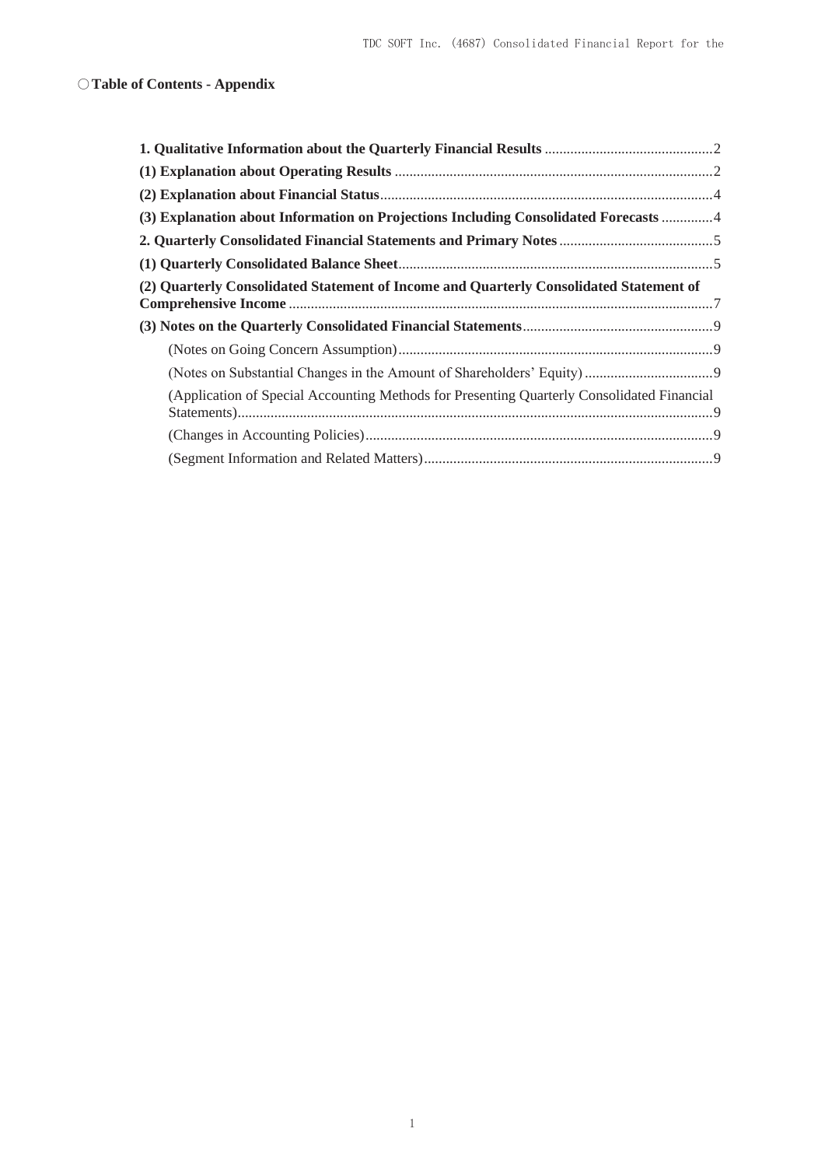# ○**Table of Contents - Appendix**

| (3) Explanation about Information on Projections Including Consolidated Forecasts 4        |  |
|--------------------------------------------------------------------------------------------|--|
|                                                                                            |  |
|                                                                                            |  |
| (2) Quarterly Consolidated Statement of Income and Quarterly Consolidated Statement of     |  |
|                                                                                            |  |
|                                                                                            |  |
|                                                                                            |  |
| (Application of Special Accounting Methods for Presenting Quarterly Consolidated Financial |  |
|                                                                                            |  |
|                                                                                            |  |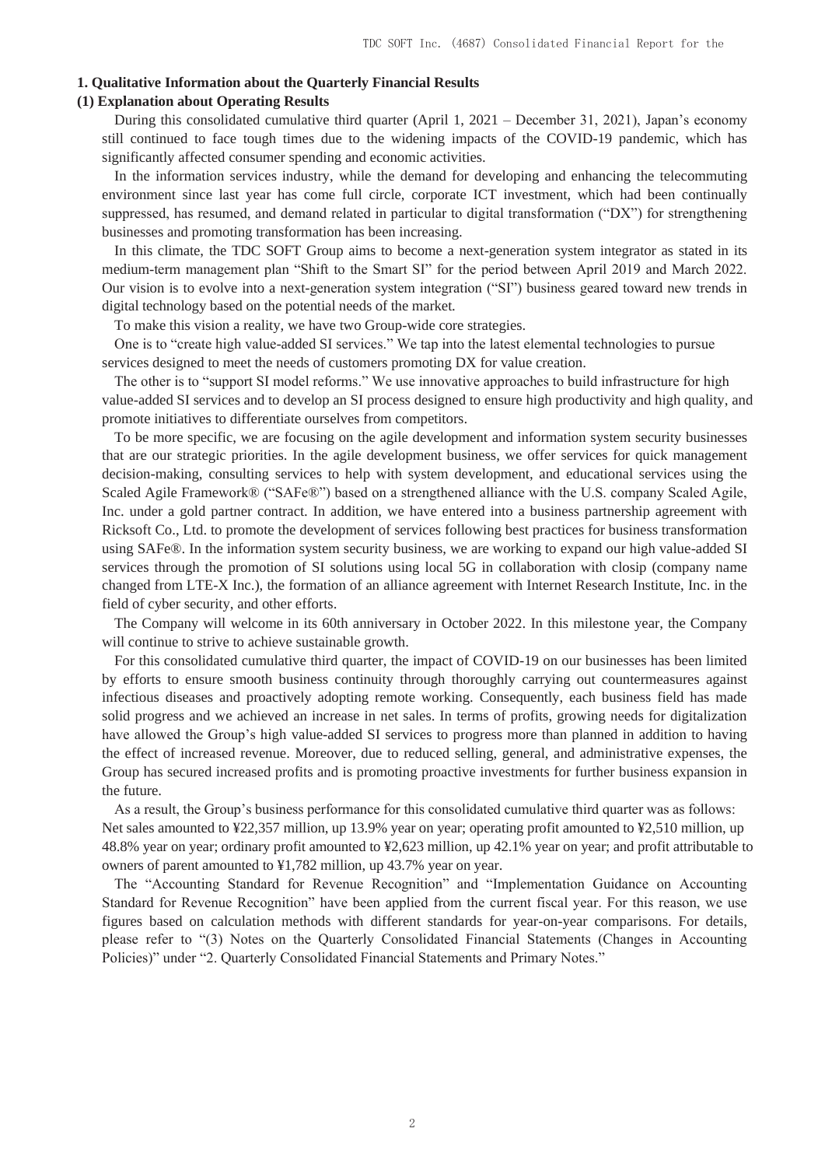#### **1. Qualitative Information about the Quarterly Financial Results**

### **(1) Explanation about Operating Results**

During this consolidated cumulative third quarter (April 1, 2021 – December 31, 2021), Japan's economy still continued to face tough times due to the widening impacts of the COVID-19 pandemic, which has significantly affected consumer spending and economic activities.

In the information services industry, while the demand for developing and enhancing the telecommuting environment since last year has come full circle, corporate ICT investment, which had been continually suppressed, has resumed, and demand related in particular to digital transformation ("DX") for strengthening businesses and promoting transformation has been increasing.

In this climate, the TDC SOFT Group aims to become a next-generation system integrator as stated in its medium-term management plan "Shift to the Smart SI" for the period between April 2019 and March 2022. Our vision is to evolve into a next-generation system integration ("SI") business geared toward new trends in digital technology based on the potential needs of the market.

To make this vision a reality, we have two Group-wide core strategies.

One is to "create high value-added SI services." We tap into the latest elemental technologies to pursue services designed to meet the needs of customers promoting DX for value creation.

The other is to "support SI model reforms." We use innovative approaches to build infrastructure for high value-added SI services and to develop an SI process designed to ensure high productivity and high quality, and promote initiatives to differentiate ourselves from competitors.

To be more specific, we are focusing on the agile development and information system security businesses that are our strategic priorities. In the agile development business, we offer services for quick management decision-making, consulting services to help with system development, and educational services using the Scaled Agile Framework® ("SAFe®") based on a strengthened alliance with the U.S. company Scaled Agile, Inc. under a gold partner contract. In addition, we have entered into a business partnership agreement with Ricksoft Co., Ltd. to promote the development of services following best practices for business transformation using SAFe®. In the information system security business, we are working to expand our high value-added SI services through the promotion of SI solutions using local 5G in collaboration with closip (company name changed from LTE-X Inc.), the formation of an alliance agreement with Internet Research Institute, Inc. in the field of cyber security, and other efforts.

The Company will welcome in its 60th anniversary in October 2022. In this milestone year, the Company will continue to strive to achieve sustainable growth.

For this consolidated cumulative third quarter, the impact of COVID-19 on our businesses has been limited by efforts to ensure smooth business continuity through thoroughly carrying out countermeasures against infectious diseases and proactively adopting remote working. Consequently, each business field has made solid progress and we achieved an increase in net sales. In terms of profits, growing needs for digitalization have allowed the Group's high value-added SI services to progress more than planned in addition to having the effect of increased revenue. Moreover, due to reduced selling, general, and administrative expenses, the Group has secured increased profits and is promoting proactive investments for further business expansion in the future.

As a result, the Group's business performance for this consolidated cumulative third quarter was as follows: Net sales amounted to ¥22,357 million, up 13.9% year on year; operating profit amounted to ¥2,510 million, up 48.8% year on year; ordinary profit amounted to ¥2,623 million, up 42.1% year on year; and profit attributable to owners of parent amounted to ¥1,782 million, up 43.7% year on year.

The "Accounting Standard for Revenue Recognition" and "Implementation Guidance on Accounting Standard for Revenue Recognition" have been applied from the current fiscal year. For this reason, we use figures based on calculation methods with different standards for year-on-year comparisons. For details, please refer to "(3) Notes on the Quarterly Consolidated Financial Statements (Changes in Accounting Policies)" under "2. Quarterly Consolidated Financial Statements and Primary Notes."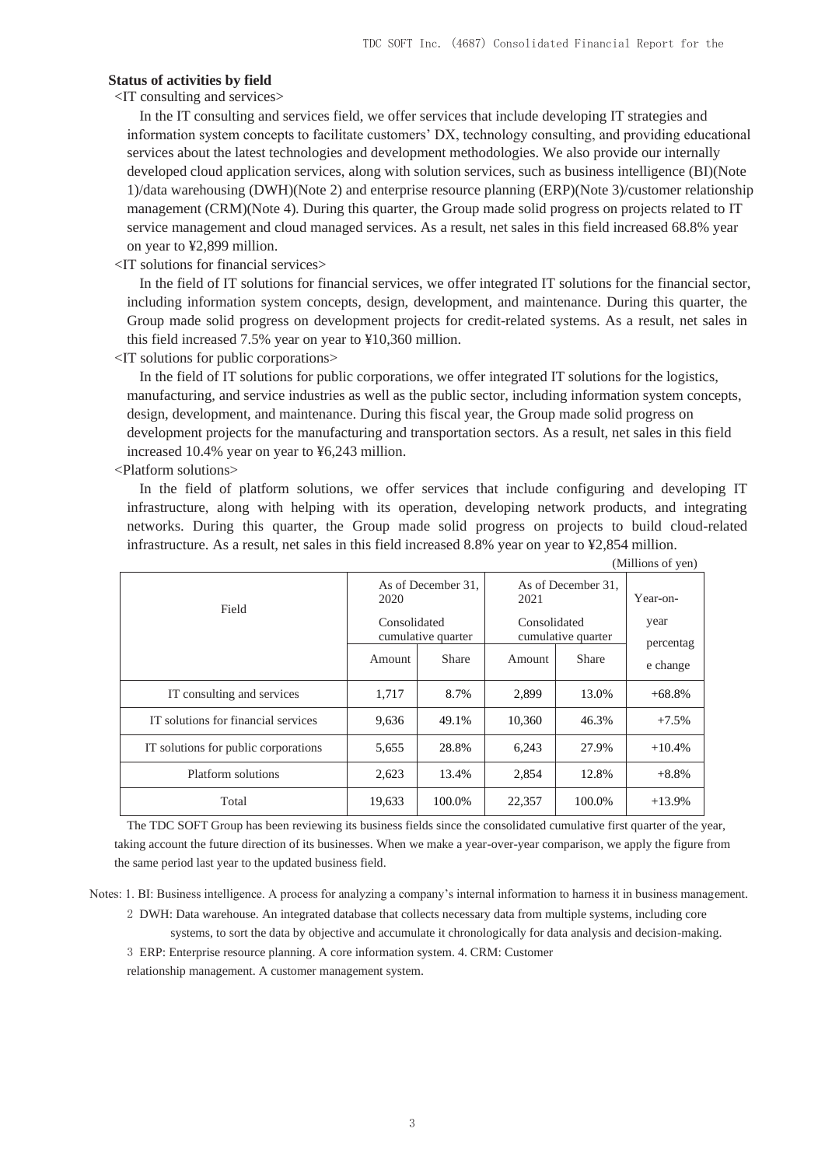#### **Status of activities by field**

<IT consulting and services>

In the IT consulting and services field, we offer services that include developing IT strategies and information system concepts to facilitate customers' DX, technology consulting, and providing educational services about the latest technologies and development methodologies. We also provide our internally developed cloud application services, along with solution services, such as business intelligence (BI)(Note 1)/data warehousing (DWH)(Note 2) and enterprise resource planning (ERP)(Note 3)/customer relationship management (CRM)(Note 4). During this quarter, the Group made solid progress on projects related to IT service management and cloud managed services. As a result, net sales in this field increased 68.8% year on year to ¥2,899 million.

<IT solutions for financial services>

In the field of IT solutions for financial services, we offer integrated IT solutions for the financial sector, including information system concepts, design, development, and maintenance. During this quarter, the Group made solid progress on development projects for credit-related systems. As a result, net sales in this field increased 7.5% year on year to ¥10,360 million.

<IT solutions for public corporations>

In the field of IT solutions for public corporations, we offer integrated IT solutions for the logistics, manufacturing, and service industries as well as the public sector, including information system concepts, design, development, and maintenance. During this fiscal year, the Group made solid progress on development projects for the manufacturing and transportation sectors. As a result, net sales in this field increased 10.4% year on year to ¥6,243 million.

<Platform solutions>

In the field of platform solutions, we offer services that include configuring and developing IT infrastructure, along with helping with its operation, developing network products, and integrating networks. During this quarter, the Group made solid progress on projects to build cloud-related infrastructure. As a result, net sales in this field increased 8.8% year on year to ¥2,854 million.

|                                      |                                       |                    |                                    |              | (Millions of yen)     |  |
|--------------------------------------|---------------------------------------|--------------------|------------------------------------|--------------|-----------------------|--|
| Field                                | 2020                                  | As of December 31, | As of December 31,<br>2021         | Year-on-     |                       |  |
|                                      | Consolidated                          |                    | Consolidated<br>cumulative quarter |              | year                  |  |
|                                      | cumulative quarter<br>Share<br>Amount |                    | Amount                             | <b>Share</b> | percentag<br>e change |  |
| IT consulting and services           | 1,717                                 | 8.7%               | 2,899                              | 13.0%        | $+68.8%$              |  |
| IT solutions for financial services  | 9,636                                 | 49.1%              | 10,360                             | 46.3%        | $+7.5%$               |  |
| IT solutions for public corporations | 5,655                                 | 28.8%              | 6,243                              | 27.9%        | $+10.4%$              |  |
| Platform solutions                   | 2,623                                 | 13.4%              | 2,854                              | 12.8%        | $+8.8%$               |  |
| Total                                | 19,633                                | 100.0%             | 22,357                             | 100.0%       | $+13.9%$              |  |

The TDC SOFT Group has been reviewing its business fields since the consolidated cumulative first quarter of the year, taking account the future direction of its businesses. When we make a year-over-year comparison, we apply the figure from the same period last year to the updated business field.

Notes: 1. BI: Business intelligence. A process for analyzing a company's internal information to harness it in business management.

2 DWH: Data warehouse. An integrated database that collects necessary data from multiple systems, including core systems, to sort the data by objective and accumulate it chronologically for data analysis and decision-making. 3 ERP: Enterprise resource planning. A core information system. 4. CRM: Customer relationship management. A customer management system.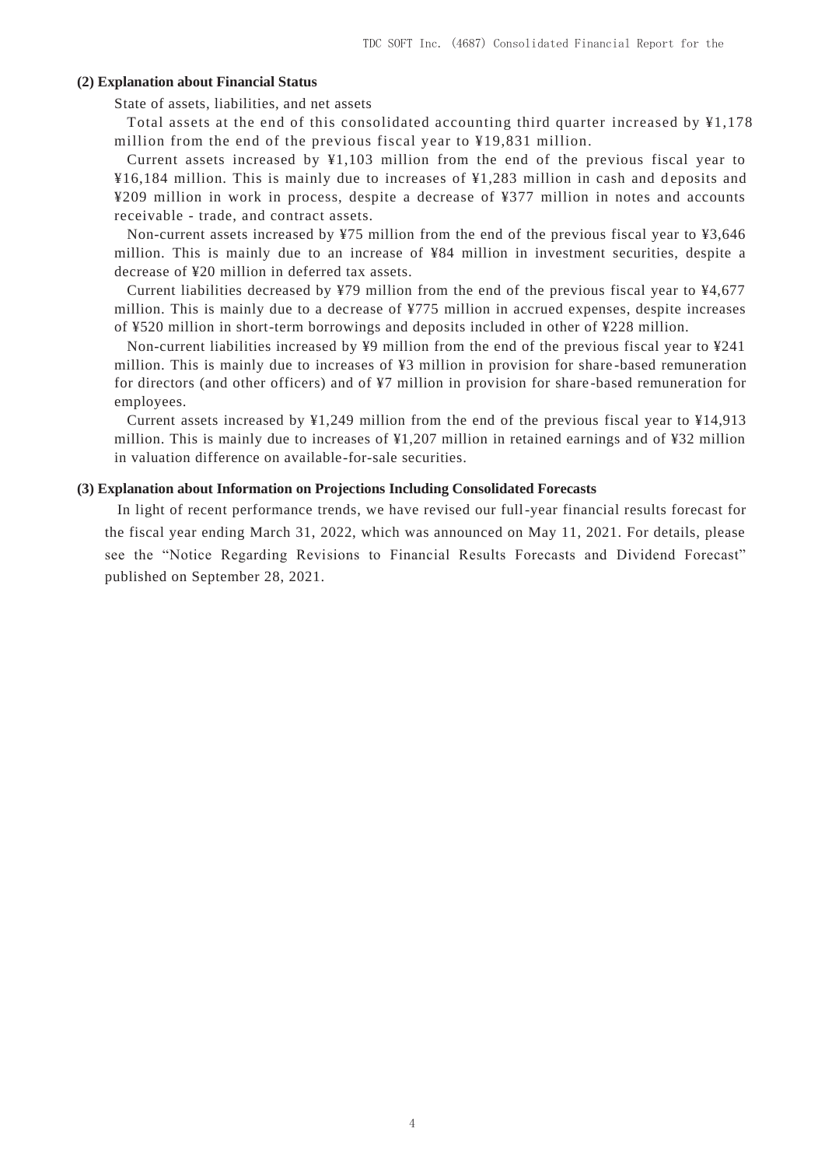### **(2) Explanation about Financial Status**

State of assets, liabilities, and net assets

Total assets at the end of this consolidated accounting third quarter increased by ¥1,178 million from the end of the previous fiscal year to ¥19,831 million.

Current assets increased by ¥1,103 million from the end of the previous fiscal year to  $\frac{1}{2}$  16,184 million. This is mainly due to increases of  $\frac{1}{2}$ ,283 million in cash and deposits and ¥209 million in work in process, despite a decrease of ¥377 million in notes and accounts receivable - trade, and contract assets.

Non-current assets increased by ¥75 million from the end of the previous fiscal year to ¥3,646 million. This is mainly due to an increase of ¥84 million in investment securities, despite a decrease of ¥20 million in deferred tax assets.

Current liabilities decreased by ¥79 million from the end of the previous fiscal year to ¥4,677 million. This is mainly due to a decrease of ¥775 million in accrued expenses, despite increases of ¥520 million in short-term borrowings and deposits included in other of ¥228 million.

Non-current liabilities increased by ¥9 million from the end of the previous fiscal year to ¥241 million. This is mainly due to increases of ¥3 million in provision for share -based remuneration for directors (and other officers) and of ¥7 million in provision for share -based remuneration for employees.

Current assets increased by  $\frac{1}{249}$  million from the end of the previous fiscal year to  $\frac{1}{4913}$ million. This is mainly due to increases of ¥1,207 million in retained earnings and of ¥32 million in valuation difference on available-for-sale securities.

#### **(3) Explanation about Information on Projections Including Consolidated Forecasts**

In light of recent performance trends, we have revised our full-year financial results forecast for the fiscal year ending March 31, 2022, which was announced on May 11, 2021. For details, please see the "Notice Regarding Revisions to Financial Results Forecasts and Dividend Forecast" published on September 28, 2021.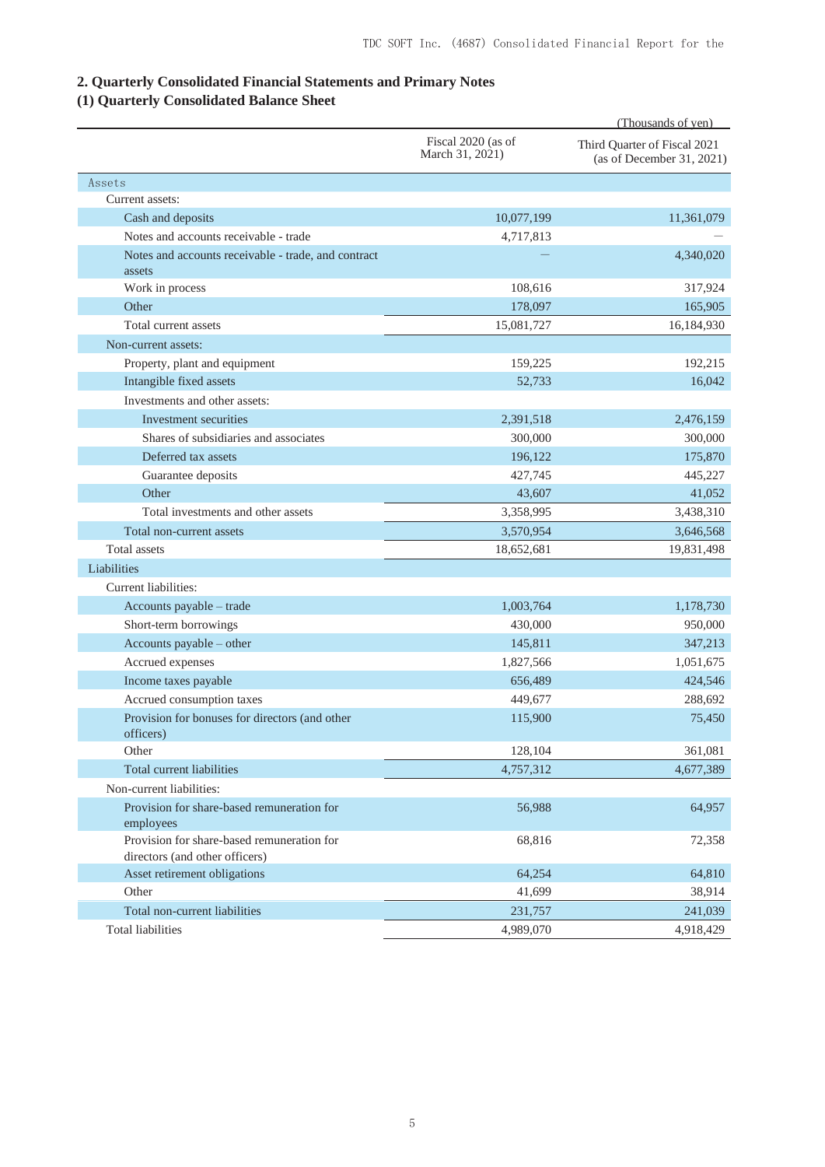# **2. Quarterly Consolidated Financial Statements and Primary Notes**

# **(1) Quarterly Consolidated Balance Sheet**

|                                                                              |                                       | (Thousands of yen)                                        |
|------------------------------------------------------------------------------|---------------------------------------|-----------------------------------------------------------|
|                                                                              | Fiscal 2020 (as of<br>March 31, 2021) | Third Quarter of Fiscal 2021<br>(as of December 31, 2021) |
| Assets                                                                       |                                       |                                                           |
| Current assets:                                                              |                                       |                                                           |
| Cash and deposits                                                            | 10,077,199                            | 11,361,079                                                |
| Notes and accounts receivable - trade                                        | 4,717,813                             |                                                           |
| Notes and accounts receivable - trade, and contract<br>assets                |                                       | 4,340,020                                                 |
| Work in process                                                              | 108,616                               | 317,924                                                   |
| Other                                                                        | 178,097                               | 165,905                                                   |
| Total current assets                                                         | 15,081,727                            | 16,184,930                                                |
| Non-current assets:                                                          |                                       |                                                           |
| Property, plant and equipment                                                | 159,225                               | 192,215                                                   |
| Intangible fixed assets                                                      | 52,733                                | 16,042                                                    |
| Investments and other assets:                                                |                                       |                                                           |
| Investment securities                                                        | 2,391,518                             | 2,476,159                                                 |
| Shares of subsidiaries and associates                                        | 300,000                               | 300,000                                                   |
| Deferred tax assets                                                          | 196,122                               | 175,870                                                   |
| Guarantee deposits                                                           | 427,745                               | 445,227                                                   |
| Other                                                                        | 43,607                                | 41,052                                                    |
| Total investments and other assets                                           | 3,358,995                             | 3,438,310                                                 |
| Total non-current assets                                                     | 3,570,954                             | 3,646,568                                                 |
| Total assets                                                                 | 18,652,681                            | 19,831,498                                                |
| Liabilities                                                                  |                                       |                                                           |
| Current liabilities:                                                         |                                       |                                                           |
| Accounts payable - trade                                                     | 1,003,764                             | 1,178,730                                                 |
| Short-term borrowings                                                        | 430,000                               | 950,000                                                   |
| Accounts payable - other                                                     | 145,811                               | 347,213                                                   |
| Accrued expenses                                                             | 1,827,566                             | 1,051,675                                                 |
| Income taxes payable                                                         | 656,489                               | 424,546                                                   |
| Accrued consumption taxes                                                    | 449,677                               | 288,692                                                   |
| Provision for bonuses for directors (and other                               | 115,900                               | 75,450                                                    |
| officers)                                                                    |                                       |                                                           |
| Other                                                                        | 128,104                               | 361,081                                                   |
| <b>Total current liabilities</b>                                             | 4,757,312                             | 4,677,389                                                 |
| Non-current liabilities:                                                     |                                       |                                                           |
| Provision for share-based remuneration for<br>employees                      | 56,988                                | 64,957                                                    |
| Provision for share-based remuneration for<br>directors (and other officers) | 68,816                                | 72,358                                                    |
| Asset retirement obligations                                                 | 64,254                                | 64,810                                                    |
| Other                                                                        | 41,699                                | 38,914                                                    |
| Total non-current liabilities                                                | 231,757                               | 241,039                                                   |
| <b>Total liabilities</b>                                                     | 4,989,070                             | 4,918,429                                                 |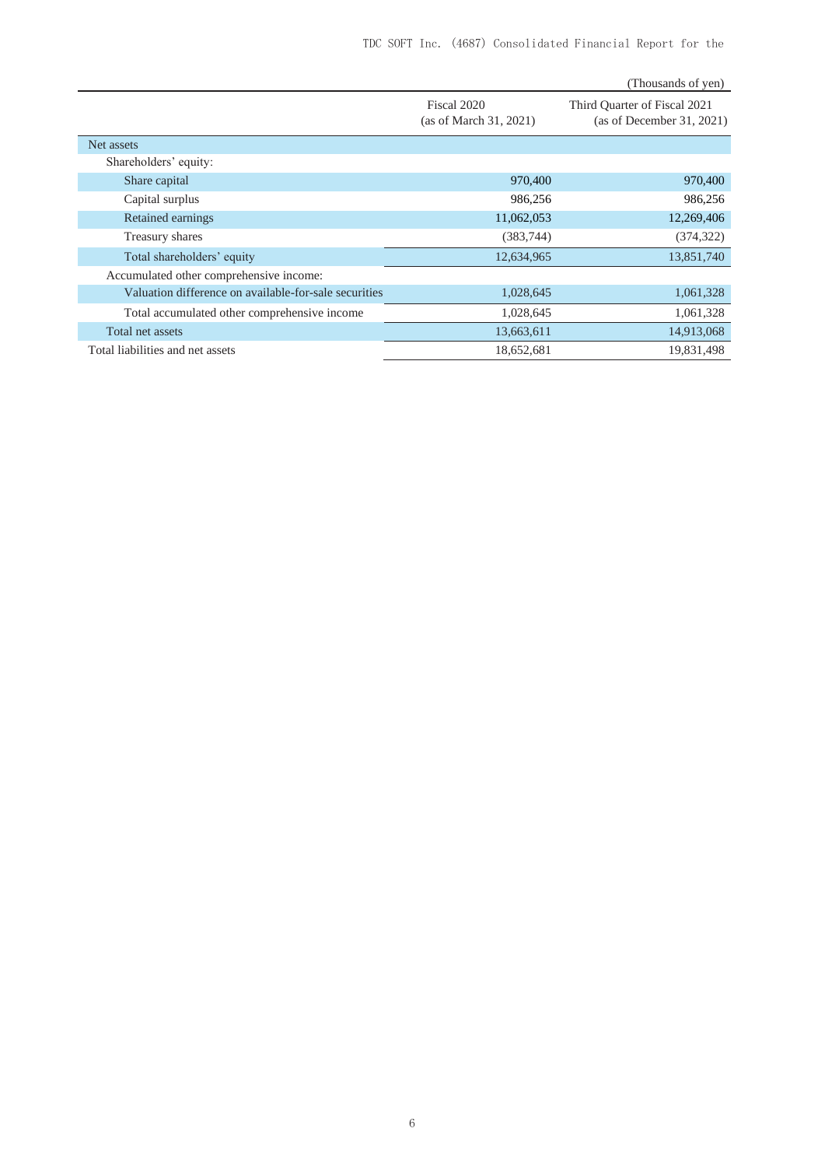|                                                       |                                       | (Thousands of yen)                                        |
|-------------------------------------------------------|---------------------------------------|-----------------------------------------------------------|
|                                                       | Fiscal 2020<br>(as of March 31, 2021) | Third Quarter of Fiscal 2021<br>(as of December 31, 2021) |
| Net assets                                            |                                       |                                                           |
| Shareholders' equity:                                 |                                       |                                                           |
| Share capital                                         | 970,400                               | 970,400                                                   |
| Capital surplus                                       | 986,256                               | 986,256                                                   |
| Retained earnings                                     | 11,062,053                            | 12,269,406                                                |
| Treasury shares                                       | (383, 744)                            | (374, 322)                                                |
| Total shareholders' equity                            | 12,634,965                            | 13,851,740                                                |
| Accumulated other comprehensive income:               |                                       |                                                           |
| Valuation difference on available-for-sale securities | 1,028,645                             | 1,061,328                                                 |
| Total accumulated other comprehensive income          | 1,028,645                             | 1,061,328                                                 |
| Total net assets                                      | 13,663,611                            | 14,913,068                                                |
| Total liabilities and net assets                      | 18,652,681                            | 19,831,498                                                |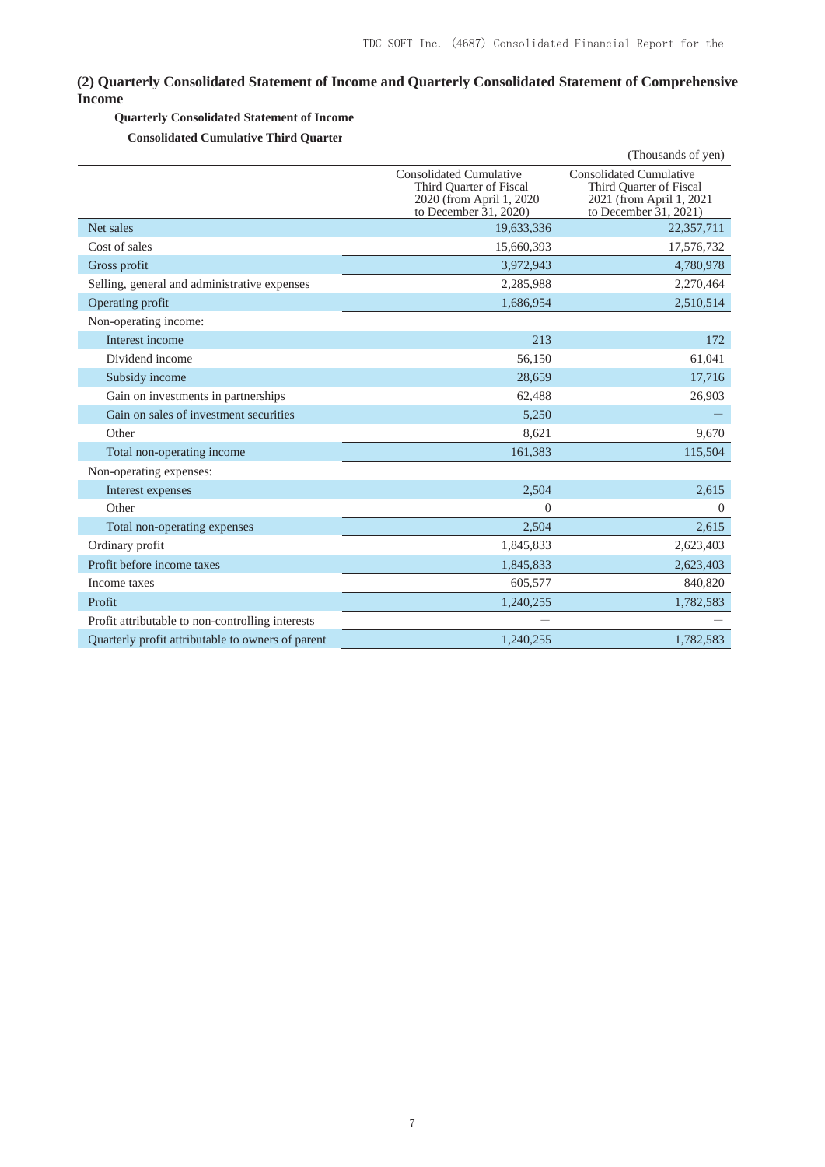## **(2) Quarterly Consolidated Statement of Income and Quarterly Consolidated Statement of Comprehensive Income**

### **Quarterly Consolidated Statement of Income**

**Consolidated Cumulative Third Quarter**

|                                                   |                                                                                                          | (Thousands of yen)                                                                                      |
|---------------------------------------------------|----------------------------------------------------------------------------------------------------------|---------------------------------------------------------------------------------------------------------|
|                                                   | Consolidated Cumulative<br>Third Ouarter of Fiscal<br>2020 (from April 1, 2020)<br>to December 31, 2020) | Consolidated Cumulative<br>Third Ouarter of Fiscal<br>2021 (from April 1, 2021<br>to December 31, 2021) |
| Net sales                                         | 19,633,336                                                                                               | 22,357,711                                                                                              |
| Cost of sales                                     | 15,660,393                                                                                               | 17,576,732                                                                                              |
| Gross profit                                      | 3,972,943                                                                                                | 4,780,978                                                                                               |
| Selling, general and administrative expenses      | 2,285,988                                                                                                | 2,270,464                                                                                               |
| Operating profit                                  | 1,686,954                                                                                                | 2,510,514                                                                                               |
| Non-operating income:                             |                                                                                                          |                                                                                                         |
| Interest income                                   | 213                                                                                                      | 172                                                                                                     |
| Dividend income                                   | 56,150                                                                                                   | 61,041                                                                                                  |
| Subsidy income                                    | 28,659                                                                                                   | 17,716                                                                                                  |
| Gain on investments in partnerships               | 62,488                                                                                                   | 26,903                                                                                                  |
| Gain on sales of investment securities            | 5,250                                                                                                    |                                                                                                         |
| Other                                             | 8,621                                                                                                    | 9,670                                                                                                   |
| Total non-operating income                        | 161,383                                                                                                  | 115,504                                                                                                 |
| Non-operating expenses:                           |                                                                                                          |                                                                                                         |
| Interest expenses                                 | 2,504                                                                                                    | 2,615                                                                                                   |
| Other                                             | $\mathbf{0}$                                                                                             | $\Omega$                                                                                                |
| Total non-operating expenses                      | 2,504                                                                                                    | 2,615                                                                                                   |
| Ordinary profit                                   | 1,845,833                                                                                                | 2,623,403                                                                                               |
| Profit before income taxes                        | 1,845,833                                                                                                | 2,623,403                                                                                               |
| Income taxes                                      | 605,577                                                                                                  | 840,820                                                                                                 |
| Profit                                            | 1,240,255                                                                                                | 1,782,583                                                                                               |
| Profit attributable to non-controlling interests  |                                                                                                          |                                                                                                         |
| Quarterly profit attributable to owners of parent | 1.240.255                                                                                                | 1.782.583                                                                                               |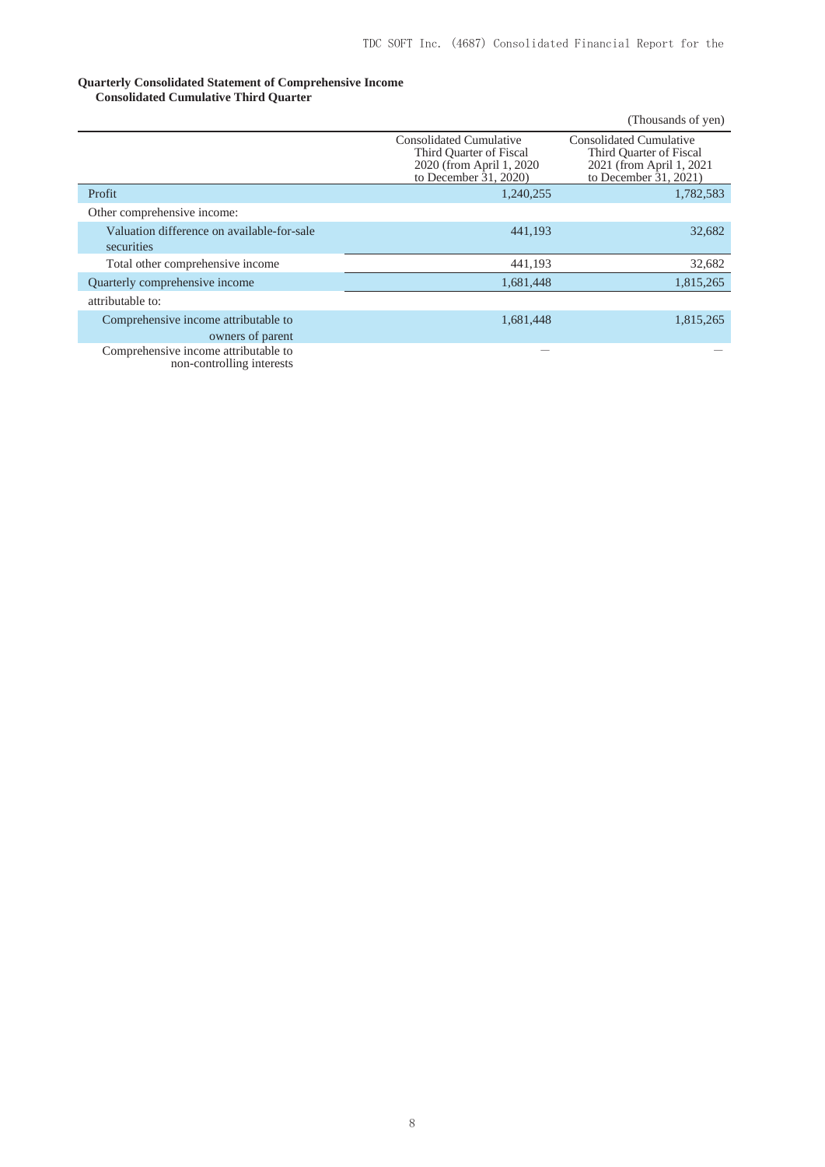#### **Quarterly Consolidated Statement of Comprehensive Income Consolidated Cumulative Third Quarter**

|                                                                   |                                                                                                                 | (Thousands of yen)                                                                                       |
|-------------------------------------------------------------------|-----------------------------------------------------------------------------------------------------------------|----------------------------------------------------------------------------------------------------------|
|                                                                   | <b>Consolidated Cumulative</b><br>Third Quarter of Fiscal<br>2020 (from April 1, 2020)<br>to December 31, 2020) | Consolidated Cumulative<br>Third Quarter of Fiscal<br>2021 (from April 1, 2021)<br>to December 31, 2021) |
| Profit                                                            | 1,240,255                                                                                                       | 1,782,583                                                                                                |
| Other comprehensive income:                                       |                                                                                                                 |                                                                                                          |
| Valuation difference on available-for-sale<br>securities          | 441,193                                                                                                         | 32,682                                                                                                   |
| Total other comprehensive income                                  | 441,193                                                                                                         | 32,682                                                                                                   |
| Quarterly comprehensive income                                    | 1,681,448                                                                                                       | 1,815,265                                                                                                |
| attributable to:                                                  |                                                                                                                 |                                                                                                          |
| Comprehensive income attributable to                              | 1,681,448                                                                                                       | 1,815,265                                                                                                |
| owners of parent                                                  |                                                                                                                 |                                                                                                          |
| Comprehensive income attributable to<br>non-controlling interests |                                                                                                                 |                                                                                                          |

8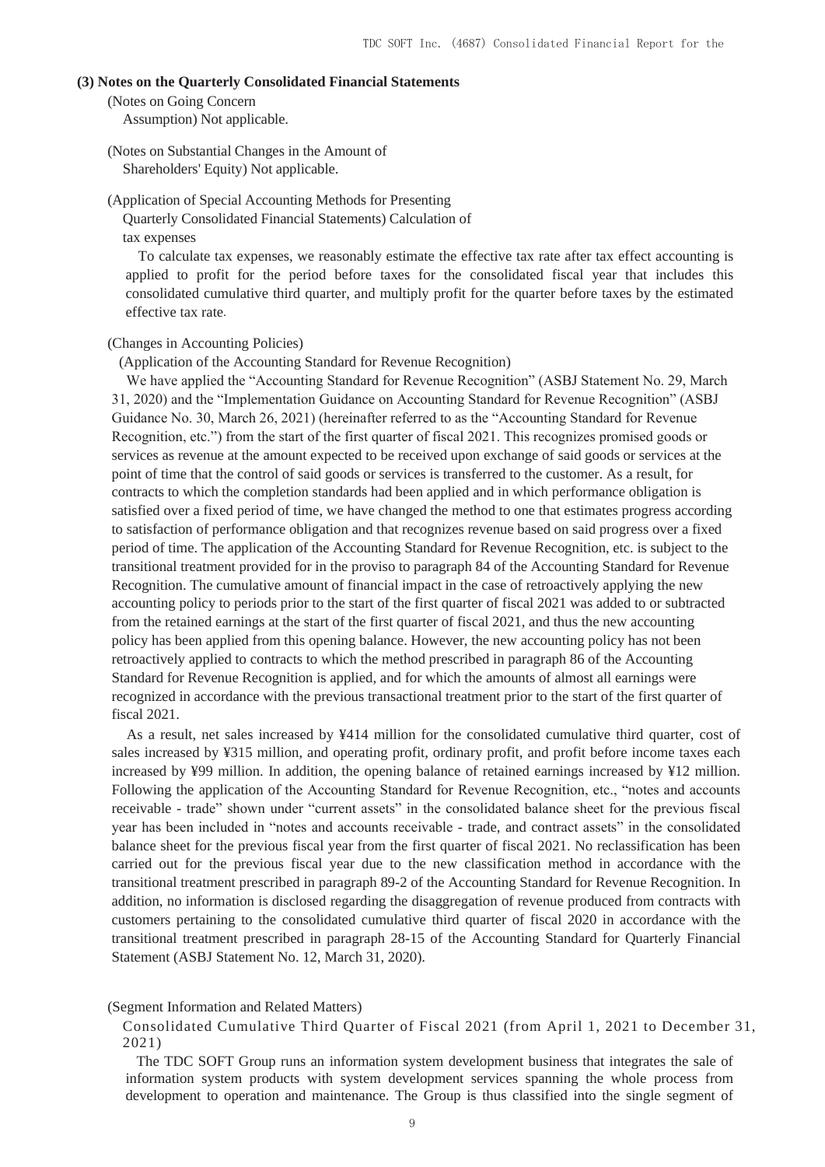### **(3) Notes on the Quarterly Consolidated Financial Statements**

(Notes on Going Concern

Assumption) Not applicable.

(Notes on Substantial Changes in the Amount of Shareholders' Equity) Not applicable.

(Application of Special Accounting Methods for Presenting Quarterly Consolidated Financial Statements) Calculation of tax expenses

To calculate tax expenses, we reasonably estimate the effective tax rate after tax effect accounting is applied to profit for the period before taxes for the consolidated fiscal year that includes this consolidated cumulative third quarter, and multiply profit for the quarter before taxes by the estimated effective tax rate.

#### (Changes in Accounting Policies)

(Application of the Accounting Standard for Revenue Recognition)

We have applied the "Accounting Standard for Revenue Recognition" (ASBJ Statement No. 29, March 31, 2020) and the "Implementation Guidance on Accounting Standard for Revenue Recognition" (ASBJ Guidance No. 30, March 26, 2021) (hereinafter referred to as the "Accounting Standard for Revenue Recognition, etc.") from the start of the first quarter of fiscal 2021. This recognizes promised goods or services as revenue at the amount expected to be received upon exchange of said goods or services at the point of time that the control of said goods or services is transferred to the customer. As a result, for contracts to which the completion standards had been applied and in which performance obligation is satisfied over a fixed period of time, we have changed the method to one that estimates progress according to satisfaction of performance obligation and that recognizes revenue based on said progress over a fixed period of time. The application of the Accounting Standard for Revenue Recognition, etc. is subject to the transitional treatment provided for in the proviso to paragraph 84 of the Accounting Standard for Revenue Recognition. The cumulative amount of financial impact in the case of retroactively applying the new accounting policy to periods prior to the start of the first quarter of fiscal 2021 was added to or subtracted from the retained earnings at the start of the first quarter of fiscal 2021, and thus the new accounting policy has been applied from this opening balance. However, the new accounting policy has not been retroactively applied to contracts to which the method prescribed in paragraph 86 of the Accounting Standard for Revenue Recognition is applied, and for which the amounts of almost all earnings were recognized in accordance with the previous transactional treatment prior to the start of the first quarter of fiscal 2021.

As a result, net sales increased by ¥414 million for the consolidated cumulative third quarter, cost of sales increased by ¥315 million, and operating profit, ordinary profit, and profit before income taxes each increased by ¥99 million. In addition, the opening balance of retained earnings increased by ¥12 million. Following the application of the Accounting Standard for Revenue Recognition, etc., "notes and accounts receivable - trade" shown under "current assets" in the consolidated balance sheet for the previous fiscal year has been included in "notes and accounts receivable - trade, and contract assets" in the consolidated balance sheet for the previous fiscal year from the first quarter of fiscal 2021. No reclassification has been carried out for the previous fiscal year due to the new classification method in accordance with the transitional treatment prescribed in paragraph 89-2 of the Accounting Standard for Revenue Recognition. In addition, no information is disclosed regarding the disaggregation of revenue produced from contracts with customers pertaining to the consolidated cumulative third quarter of fiscal 2020 in accordance with the transitional treatment prescribed in paragraph 28-15 of the Accounting Standard for Quarterly Financial Statement (ASBJ Statement No. 12, March 31, 2020).

### (Segment Information and Related Matters)

Consolidated Cumulative Third Quarter of Fiscal 2021 (from April 1, 2021 to December 31, 2021)

The TDC SOFT Group runs an information system development business that integrates the sale of information system products with system development services spanning the whole process from development to operation and maintenance. The Group is thus classified into the single segment of